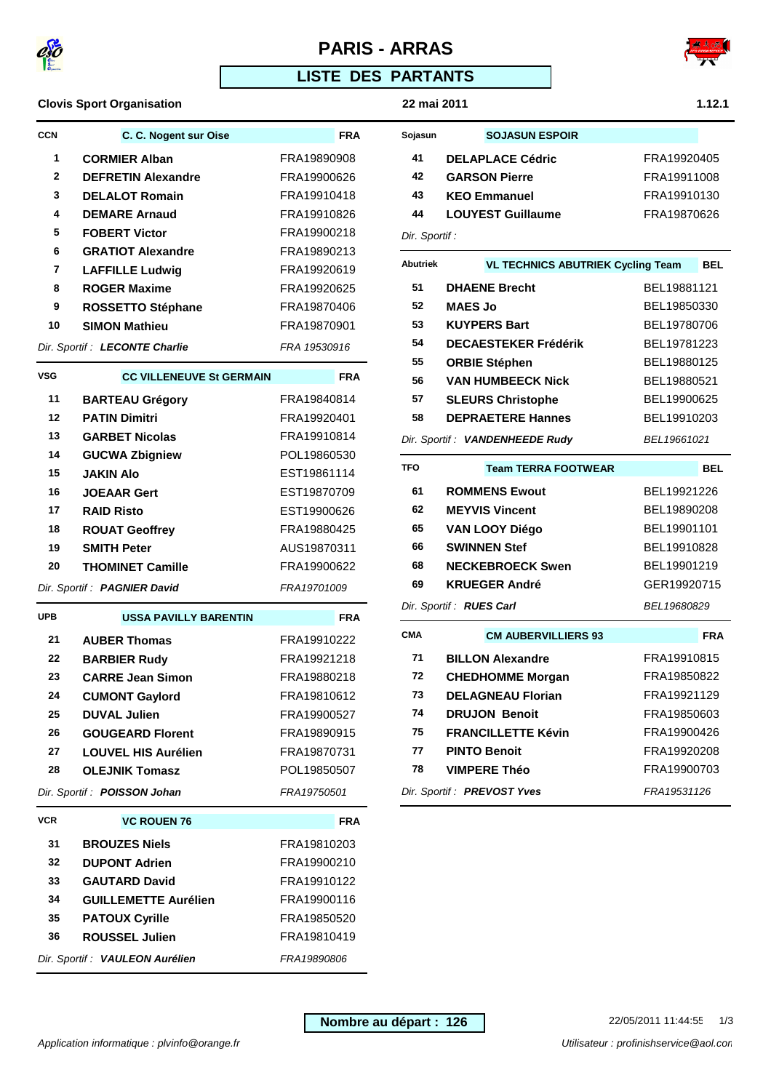

# **PARIS - ARRAS**





**CCN C. C. Nogent sur Oise FRA CORMIER Alban FRA19890908 DEFRETIN Alexandre** FRA19900626 **DELALOT Romain** FRA19910418 **DEMARE Arnaud** FRA19910826 **FOBERT Victor** FRA19900218 **GRATIOT Alexandre** FRA19890213 **LAFFILLE Ludwig** FRA19920619 **ROGER Maxime** FRA19920625 **ROSSETTO Stéphane** FRA19870406 **SIMON Mathieu** FRA19870901 Dir. Sportif : LECONTE Charlie FRA 19530916

**VSG CC VILLENEUVE St GERMAIN FRA BARTEAU Grégory** FRA19840814 **PATIN Dimitri** FRA19920401 **GARBET Nicolas** FRA19910814 **GUCWA Zbigniew** POL19860530 **JAKIN Alo** EST19861114 **JOEAAR Gert** EST19870709 **RAID Risto** EST19900626 **ROUAT Geoffrey** FRA19880425 **SMITH Peter** AUS19870311 **THOMINET Camille** FRA19900622 Dir. Sportif: **PAGNIER David** FRA19701009

**UPB USSA PAVILLY BARENTIN FRA AUBER Thomas** FRA19910222 **BARBIER Rudy** FRA19921218 **CARRE Jean Simon** FRA19880218 **CUMONT Gaylord** FRA19810612 **DUVAL Julien** FRA19900527 **GOUGEARD Florent** FRA19890915 **LOUVEL HIS Aurélien** FRA19870731 **OLEJNIK Tomasz** POL19850507 Dir. Sportif: **POISSON Johan** FRA19750501

**VCR VC ROUEN 76 FRA BROUZES Niels** FRA19810203 **DUPONT Adrien** FRA19900210 **GAUTARD David** FRA19910122 **GUILLEMETTE Aurélien** FRA19900116 **PATOUX Cyrille** FRA19850520 **ROUSSEL Julien** FRA19810419 Dir. Sportif : **VAULEON Aurélien** FRA19890806



| <b>FIRISH SE</b> |  |
|------------------|--|
|                  |  |

| Sojasun       | <b>SOJASUN ESPOIR</b>    |             |
|---------------|--------------------------|-------------|
| 41            | <b>DELAPLACE Cédric</b>  | FRA19920405 |
| 42            | <b>GARSON Pierre</b>     | FRA19911008 |
| 43            | <b>KEO Emmanuel</b>      | FRA19910130 |
| 44            | <b>LOUYEST Guillaume</b> | FRA19870626 |
| Dir. Sportif: |                          |             |

|  | ir. Sportif : |  |
|--|---------------|--|
|--|---------------|--|

| Abutriek | <b>VL TECHNICS ABUTRIEK Cycling Team</b> | BEL         |
|----------|------------------------------------------|-------------|
| 51       | <b>DHAENE Brecht</b>                     | BEL19881121 |
| 52       | <b>MAES Jo</b>                           | BEL19850330 |
| 53       | <b>KUYPERS Bart</b>                      | BEL19780706 |
| 54       | <b>DECAESTEKER Frédérik</b>              | BEL19781223 |
| 55       | <b>ORBIE Stéphen</b>                     | BEL19880125 |
| 56       | <b>VAN HUMBEECK Nick</b>                 | BEL19880521 |
| 57       | <b>SLEURS Christophe</b>                 | BEL19900625 |
| 58       | <b>DEPRAETERE Hannes</b>                 | BEL19910203 |
|          | Dir. Sportif : VANDENHEEDE Rudy          | BEL19661021 |
| TFO      | <b>Team TERRA FOOTWEAR</b>               | BEL         |

| 61 | <b>ROMMENS Ewout</b>            | BEL19921226 |
|----|---------------------------------|-------------|
| 62 | <b>MEYVIS Vincent</b>           | BEL19890208 |
| 65 | <b>VAN LOOY Diégo</b>           | BEL19901101 |
| 66 | <b>SWINNEN Stef</b>             | BEL19910828 |
| 68 | <b>NECKEBROECK Swen</b>         | BEL19901219 |
| 69 | <b>KRUEGER André</b>            | GER19920715 |
|    | Dir. Sportif : <b>RUES Carl</b> | BEL19680829 |

| <b>CMA</b>                                 | <b>CM AUBERVILLIERS 93</b> | <b>FRA</b>  |
|--------------------------------------------|----------------------------|-------------|
| 71                                         | <b>BILLON Alexandre</b>    | FRA19910815 |
| 72                                         | <b>CHEDHOMME Morgan</b>    | FRA19850822 |
| 73                                         | <b>DELAGNEAU Florian</b>   | FRA19921129 |
| 74                                         | <b>DRUJON Benoit</b>       | FRA19850603 |
| 75                                         | <b>FRANCILLETTE Kévin</b>  | FRA19900426 |
| 77                                         | <b>PINTO Benoit</b>        | FRA19920208 |
| 78                                         | <b>VIMPERE Théo</b>        | FRA19900703 |
| Dir. Sportif : PREVOST Yves<br>FRA19531126 |                            |             |

| Nombre au départ : 126 |
|------------------------|
|------------------------|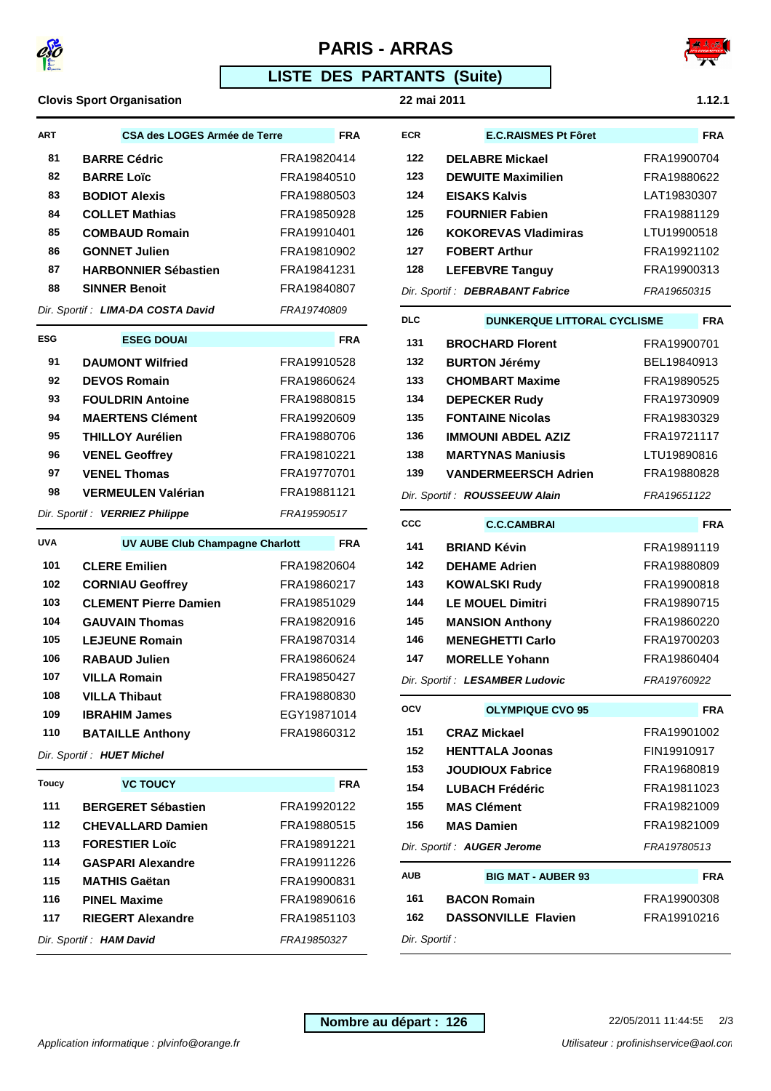

# **PARIS - ARRAS**



### **LISTE DES PARTANTS (Suite)**

**Clovis Sport Organisation 22 mai 2011 1.12.1**

**ART CSA des LOGES Armée de Terre FRA BARRE Cédric** FRA19820414 **BARRE Loïc** FRA19840510 **BODIOT Alexis** FRA19880503 **COLLET Mathias** FRA19850928 **COMBAUD Romain** FRA19910401 **GONNET Julien** FRA19810902 **HARBONNIER Sébastien** FRA19841231 **SINNER Benoit** FRA19840807 Dir. Sportif : LIMA-DA COSTA David FRA19740809

**ESG ESEG DOUAI FRA DAUMONT Wilfried** FRA19910528 **DEVOS Romain** FRA19860624 **FOULDRIN Antoine** FRA19880815 **MAERTENS Clément** FRA19920609 **THILLOY Aurélien** FRA19880706 **VENEL Geoffrey** FRA19810221 **VENEL Thomas** FRA19770701 **VERMEULEN Valérian** FRA19881121 Dir. Sportif: **VERRIEZ Philippe** FRA19590517

**ECR E.C.RAISMES Pt Fôret FRA DELABRE Mickael** FRA19900704 **DEWUITE Maximilien** FRA19880622

| 124                                             | <b>EISAKS Kalvis</b>        | LAT19830307 |
|-------------------------------------------------|-----------------------------|-------------|
| 125                                             | <b>FOURNIER Fabien</b>      | FRA19881129 |
| 126                                             | <b>KOKOREVAS Vladimiras</b> | LTU19900518 |
| 127                                             | <b>FOBERT Arthur</b>        | FRA19921102 |
| 128                                             | <b>LEFEBVRE Tanguy</b>      | FRA19900313 |
| Dir. Sportif : DEBRABANT Fabrice<br>FRA19650315 |                             |             |

| DLC | <b>DUNKERQUE LITTORAL CYCLISME</b> |             | <b>FRA</b> |
|-----|------------------------------------|-------------|------------|
| 131 | <b>BROCHARD Florent</b>            | FRA19900701 |            |
| 132 | <b>BURTON Jérémy</b>               | BEL19840913 |            |
| 133 | <b>CHOMBART Maxime</b>             | FRA19890525 |            |
| 134 | <b>DEPECKER Rudy</b>               | FRA19730909 |            |
| 135 | <b>FONTAINE Nicolas</b>            | FRA19830329 |            |
| 136 | <b>IMMOUNI ABDEL AZIZ</b>          | FRA19721117 |            |
| 138 | <b>MARTYNAS Manjusis</b>           | LTU19890816 |            |
| 139 | <b>VANDERMEERSCH Adrien</b>        | FRA19880828 |            |
|     | Dir. Sportif: ROUSSEEUW Alain      | FRA19651122 |            |

| CCC | <b>C.C.CAMBRAI</b>              | <b>FRA</b>  |
|-----|---------------------------------|-------------|
| 141 | <b>BRIAND Kévin</b>             | FRA19891119 |
| 142 | <b>DEHAME Adrien</b>            | FRA19880809 |
| 143 | <b>KOWALSKI Rudy</b>            | FRA19900818 |
| 144 | <b>LE MOUEL Dimitri</b>         | FRA19890715 |
| 145 | <b>MANSION Anthony</b>          | FRA19860220 |
| 146 | <b>MENEGHETTI Carlo</b>         | FRA19700203 |
| 147 | <b>MORELLE Yohann</b>           | FRA19860404 |
|     | Dir. Sportif : LESAMBER Ludovic | FRA19760922 |

| осу                                        | <b>OLYMPIQUE CVO 95</b>                   | <b>FRA</b>  |  |
|--------------------------------------------|-------------------------------------------|-------------|--|
| 151                                        | <b>CRAZ Mickael</b>                       | FRA19901002 |  |
| 152                                        | <b>HENTTALA Joonas</b>                    | FIN19910917 |  |
| 153                                        | <b>JOUDIOUX Fabrice</b>                   | FRA19680819 |  |
| 154                                        | <b>LUBACH Frédéric</b>                    | FRA19811023 |  |
| 155                                        | <b>MAS Clément</b>                        | FRA19821009 |  |
| 156                                        | <b>MAS Damien</b>                         | FRA19821009 |  |
| Dir. Sportif : AUGER Jerome<br>FRA19780513 |                                           |             |  |
| AUB                                        | <b>BIG MAT - AUBER 93</b>                 | <b>FRA</b>  |  |
| 161                                        | <b>BACON Romain</b>                       | FRA19900308 |  |
| 162                                        | <b>DASSONVILLE Flavien</b><br>FRA19910216 |             |  |
| Dir. Sportif :                             |                                           |             |  |

| UVA | UV AUBE Club Champagne Charlott |             | <b>FRA</b> |
|-----|---------------------------------|-------------|------------|
| 101 | <b>CLERE Emilien</b>            | FRA19820604 |            |
| 102 | <b>CORNIAU Geoffrey</b>         | FRA19860217 |            |
| 103 | <b>CLEMENT Pierre Damien</b>    | FRA19851029 |            |
| 104 | <b>GAUVAIN Thomas</b>           | FRA19820916 |            |
| 105 | <b>LEJEUNE Romain</b>           | FRA19870314 |            |
| 106 | <b>RABAUD Julien</b>            | FRA19860624 |            |
| 107 | <b>VILLA Romain</b>             | FRA19850427 |            |
| 108 | <b>VILLA Thibaut</b>            | FRA19880830 |            |
| 109 | <b>IBRAHIM James</b>            | EGY19871014 |            |
| 110 | <b>BATAILLE Anthony</b>         | FRA19860312 |            |
|     |                                 |             |            |

Dir. Sportif : **HUET Michel**

| <b>Toucy</b>                                   | <b>VC TOUCY</b>           | <b>FRA</b>  |
|------------------------------------------------|---------------------------|-------------|
| 111                                            | <b>BERGERET Sébastien</b> | FRA19920122 |
| 112                                            | <b>CHEVALLARD Damien</b>  | FRA19880515 |
| 113                                            | <b>FORESTIER Loïc</b>     | FRA19891221 |
| 114                                            | <b>GASPARI Alexandre</b>  | FRA19911226 |
| 115                                            | <b>MATHIS Gaëtan</b>      | FRA19900831 |
| 116                                            | <b>PINEL Maxime</b>       | FRA19890616 |
| 117                                            | <b>RIEGERT Alexandre</b>  | FRA19851103 |
| Dir. Sportif : <b>HAM David</b><br>FRA19850327 |                           |             |